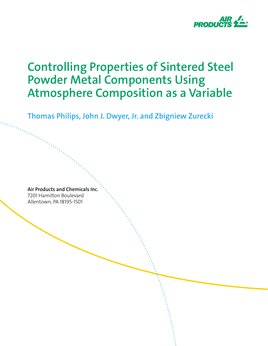

# **Controlling Properties of Sintered Steel Powder Metal Components Using Atmosphere Composition as a Variable**

**Thomas Philips, John J. Dwyer, Jr. and Zbigniew Zurecki**

**Air Products and Chemicals Inc.** 7201 Hamilton Boulevard

Allentown, PA 18195-1501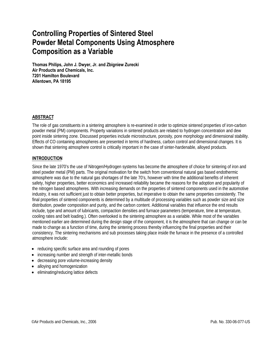# **Controlling Properties of Sintered Steel Powder Metal Components Using Atmosphere Composition as a Variable**

**Thomas Philips, John J. Dwyer, Jr. and Zbigniew Zurecki Air Products and Chemicals, Inc. 7201 Hamilton Boulevard Allentown, PA 18195** 

# **ABSTRACT**

The role of gas constituents in a sintering atmosphere is re-examined in order to optimize sintered properties of iron-carbon powder metal (PM) components. Property variations in sintered products are related to hydrogen concentration and dew point inside sintering zone. Discussed properties include microstructure, porosity, pore morphology and dimensional stability. Effects of CO containing atmospheres are presented in terms of hardness, carbon control and dimensional changes. It is shown that sintering atmosphere control is critically important in the case of sinter-hardenable, alloyed products.

#### **INTRODUCTION**

Since the late 1970's the use of Nitrogen/Hydrogen systems has become the atmosphere of choice for sintering of iron and steel powder metal (PM) parts. The original motivation for the switch from conventional natural gas based endothermic atmosphere was due to the natural gas shortages of the late 70's, however with time the additional benefits of inherent safety, higher properties, better economics and increased reliability became the reasons for the adoption and popularity of the nitrogen based atmospheres. With increasing demands on the properties of sintered components used in the automotive industry, it was not sufficient just to obtain better properties, but imperative to obtain the same properties consistently. The final properties of sintered components is determined by a multitude of processing variables such as powder size and size distribution, powder composition and purity, and the carbon content. Additional variables that influence the end results include, type and amount of lubricants, compaction densities and furnace parameters (temperature, time at temperature, cooling rates and belt loading.). Often overlooked is the sintering atmosphere as a variable. While most of the variables mentioned earlier are determined during the design stage of the component, it is the atmosphere that can change or can be made to change as a function of time, during the sintering process thereby influencing the final properties and their consistency. The sintering mechanisms and sub processes taking place inside the furnace in the presence of a controlled atmosphere include:

- reducing specific surface area and rounding of pores
- increasing number and strength of inter-metallic bonds
- decreasing pore volume-increasing density
- alloying and homogenization
- eliminating/reducing lattice defects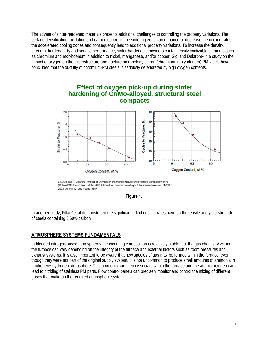The advent of sinter-hardened materials presents additional challenges to controlling the property variations. The surface densification, oxidation and carbon control in the sintering zone can enhance or decrease the cooling rates in the accelerated cooling zones and consequently lead to additional property variations. To increase the density, strength, hardenability and service performance, sinter-hardenable powders contain easily oxidizable elements such as chromium and molybdenum in addition to nickel, manganese, and/or copper. Sigl and Delarbre1 in a study on the impact of oxygen on the microstructure and fracture morphology of iron (chromium, molybdenum) PM steels have concluded that the ductility of chromium-PM steels is seriously deteriorated by high oxygen contents.



L.S. Sigl and P. Delarbre, "Impact of Oxygen on the Microstructure and Fracture Morphology of Fe (Cr,Mo)-PM Steels", Proc. of the 2003 Int.Conf. on Powder Metallurgy & Particulate Materials, PM2TEC 2003, June 8-12, Las Vegas, MPIF



In another study, Fillari<sup>2</sup> et al demonstrated the significant effect cooling rates have on the tensile and yield strength of steels containing 0.69% carbon.

# **ATMOSPHERE SYSTEMS FUNDAMENTALS**

In blended nitrogen-based atmospheres the incoming composition is relatively stable, but the gas chemistry within the furnace can vary depending on the integrity of the furnace and external factors such as room pressures and exhaust systems. It is also important to be aware that new species of gas may be formed within the furnace, even though they were not part of the original supply system. It is not uncommon to produce small amounts of ammonia in a nitrogen+ hydrogen atmosphere. This ammonia can then dissociate within the furnace and the atomic nitrogen can lead to nitriding of stainless PM parts. Flow control panels can precisely monitor and control the mixing of different gases that make up the required atmosphere system.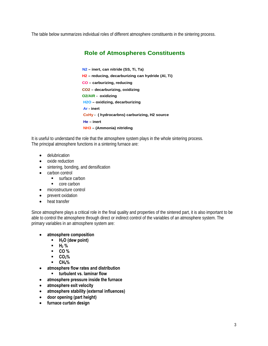The table below summarizes individual roles of different atmosphere constituents in the sintering process.

# **Role of Atmospheres Constituents**

**N2 – inert, can nitride (SS, Ti, Ta) H2 – reducing, decarburizing can hydride (Al, Ti) CO – carburizing, reducing CO2 – decarburizing, oxidizing O2/AIR - oxidizing H2O – oxidizing, decarburizing Ar - inert CxHy - ( hydrocarbns) carburizing, H2 source He – inert NH3 – (Ammonia) nitriding**

It is useful to understand the role that the atmosphere system plays in the whole sintering process. The principal atmosphere functions in a sintering furnace are:

- delubrication
- oxide reduction
- sintering, bonding, and densification
- carbon control
	- surface carbon
	- core carbon
- microstructure control
- prevent oxidation
- heat transfer

Since atmosphere plays a critical role in the final quality and properties of the sintered part, it is also important to be able to control the atmosphere through direct or indirect control of the variables of an atmosphere system. The primary variables in an atmosphere system are:

- **atmosphere composition** 
	- $H<sub>2</sub>O$  (dew point)
	- $H_2$  %
	- **CO %**
	- **CO2%**
	- **CH4%**
- **atmosphere flow rates and distribution**
- **turbulent vs. laminar flow**
- **atmosphere pressure inside the furnace**
- **atmosphere exit velocity**
- **atmosphere stability (external influences)**
- **door opening (part height)**
- **furnace curtain design**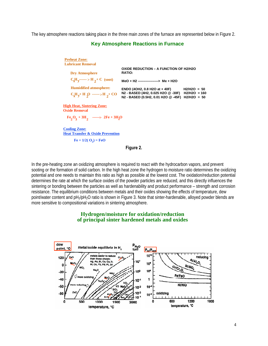The key atmosphere reactions taking place in the three main zones of the furnace are represented below in Figure 2.

#### **Key Atmosphere Reactions in Furnace**

**Preheat Zone: Lubricant Removal High Heat, Sintering Zone: Oxide Removal**  $Fe_2O_3 + 3H_2$  **------>**  $2Fe + 3H_2O$  $C_{\bf x}^{\rm H}$   $_{\bf v}$  + H  $_{\rm v}$   $_{\rm o}$  ------> H  $_{\rm v}$  + CO **Dry Atmosphere**  $C_x H_y$ ------> $H_2$ + $C$  (soot) **Humidified atmosphere: Cooling Zone: Heat Transfer & Oxide Prevention**  $Fe + 1/2($ **O**<sub>2</sub> $) = FeO$ **OXIDE REDUCTION – A FUNCTION OF H2/H2O RATIO: MeO + H2 ------------------> Me + H2O ENDO (4OH2, 0.8 H2O at + 40F) H2/H2O = 50 N2 - BASED (4H2, 0.025 H2O @ -30F) H2/H2O = 160 N2 - BASED (0.5H2, 0.01 H2O @ -45F) H2/H2O = 50**

**Figure 2.** 

In the pre-heating zone an oxidizing atmosphere is required to react with the hydrocarbon vapors, and prevent sooting or the formation of solid carbon. In the high heat zone the hydrogen to moisture ratio determines the oxidizing potential and one needs to maintain this ratio as high as possible at the lowest cost. The oxidation/reduction potential determines the rate at which the surface oxides of the powder particles are reduced, and this directly influences the sintering or bonding between the particles as well as hardenability and product performance – strength and corrosion resistance. The equilibrium conditions between metals and their oxides showing the effects of temperature, dew point/water content and  $pH_2/DH_2O$  ratio is shown in Figure 3. Note that sinter-hardenable, alloyed powder blends are more sensitive to compositional variations in sintering atmosphere.



#### **Hydrogen/moisture for oxidation/reduction of principal sinter hardened metals and oxides**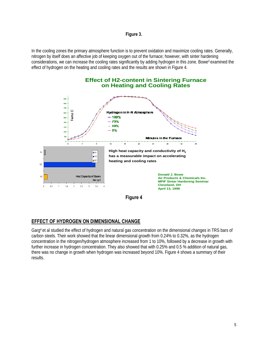#### **Figure 3.**

In the cooling zones the primary atmosphere function is to prevent oxidation and maximize cooling rates. Generally, nitrogen by itself does an affective job of keeping oxygen out of the furnace; however, with sinter hardening considerations, we can increase the cooling rates significantly by adding hydrogen in this zone. Bowe<sup>3</sup> examined the effect of hydrogen on the heating and cooling rates and the results are shown in Figure 4.



# **EFFECT OF HYDROGEN ON DIMENSIONAL CHANGE**

Garg4 et al studied the effect of hydrogen and natural gas concentration on the dimensional changes in TRS bars of carbon steels. Their work showed that the linear dimensional growth from 0.24% to 0.32%, as the hydrogen concentration in the nitrogen/hydrogen atmosphere increased from 1 to 10%, followed by a decrease in growth with further increase in hydrogen concentration. They also showed that with 0.25% and 0.5 % addition of natural gas, there was no change in growth when hydrogen was increased beyond 10%. Figure 4 shows a summary of their results.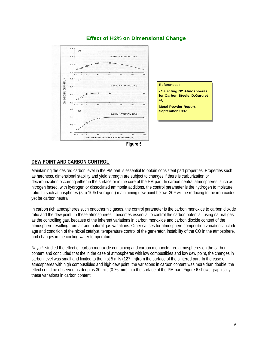

# **Effect of H2% on Dimensional Change**

# **DEW POINT AND CARBON CONTROL**

Maintaining the desired carbon level in the PM part is essential to obtain consistent part properties. Properties such as hardness, dimensional stability and yield strength are subject to changes if there is carburization or decarburization occurring either in the surface or in the core of the PM part. In carbon neutral atmospheres, such as nitrogen based, with hydrogen or dissociated ammonia additions, the control parameter is the hydrogen to moisture ratio. In such atmospheres (5 to 10% hydrogen,) maintaining dew point below -30F will be reducing to the iron oxides yet be carbon neutral.

In carbon rich atmospheres such endothermic gases, the control parameter is the carbon monoxide to carbon dioxide ratio and the dew point. In these atmospheres it becomes essential to control the carbon potential, using natural gas as the controlling gas, because of the inherent variations in carbon monoxide and carbon dioxide content of the atmosphere resulting from air and natural gas variations. Other causes for atmosphere composition variations include age and condition of the nickel catalyst, temperature control of the generator, instability of the CO in the atmosphere, and changes in the cooling water temperature.

Nayar5 studied the effect of carbon monoxide containing and carbon monoxide-free atmospheres on the carbon content and concluded that the in the case of atmospheres with low combustibles and low dew point, the changes in carbon level was small and limited to the first 5 mils (127 m)from the surface of the sintered part. In the case of atmospheres with high combustibles and high dew point, the variations in carbon content was more than double; the effect could be observed as deep as 30 mils (0.76 mm) into the surface of the PM part. Figure 6 shows graphically these variations in carbon content.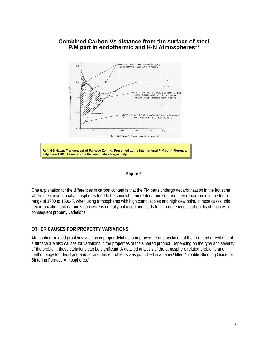# **Combined Carbon Vs distance from the surface of steel P/M part in endothermic and H-N Atmospheres\*\***





One explanation for the differences in carbon content is that the PM parts undergo decarburization in the hot zone where the conventional atmospheres tend to be somewhat more decarburizing and then re-carburize in the temp range of 1700 to 1500°F, when using atmospheres with high combustibles and high dew point. In most cases, this decarburization and carburization cycle is not fully balanced and leads to inhomogeneous carbon distribution with consequent property variations.

# **OTHER CAUSES FOR PROPERTY VARIATIONS**

Atmosphere related problems such as improper delubrication procedure and oxidation at the front end or exit end of a furnace are also causes for variations in the properties of the sintered product. Depending on the type and severity of the problem, these variations can be significant. A detailed analysis of the atmosphere related problems and methodology for identifying and solving these problems was published in a paper<sup>6</sup> titled "Trouble Shooting Guide for Sintering Furnace Atmospheres."